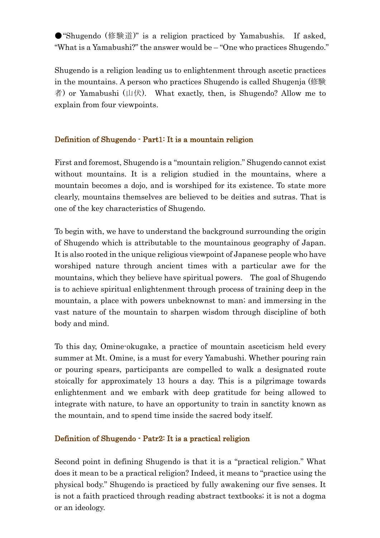● "Shugendo (修験道)" is a religion practiced by Yamabushis. If asked, "What is a Yamabushi?" the answer would be – "One who practices Shugendo."

Shugendo is a religion leading us to enlightenment through ascetic practices in the mountains. A person who practices Shugendo is called Shugenja (修験 者) or Yamabushi (山伏). What exactly, then, is Shugendo? Allow me to explain from four viewpoints.

## Definition of Shugendo - Part1: It is a mountain religion

First and foremost, Shugendo is a "mountain religion." Shugendo cannot exist without mountains. It is a religion studied in the mountains, where a mountain becomes a dojo, and is worshiped for its existence. To state more clearly, mountains themselves are believed to be deities and sutras. That is one of the key characteristics of Shugendo.

To begin with, we have to understand the background surrounding the origin of Shugendo which is attributable to the mountainous geography of Japan. It is also rooted in the unique religious viewpoint of Japanese people who have worshiped nature through ancient times with a particular awe for the mountains, which they believe have spiritual powers. The goal of Shugendo is to achieve spiritual enlightenment through process of training deep in the mountain, a place with powers unbeknownst to man; and immersing in the vast nature of the mountain to sharpen wisdom through discipline of both body and mind.

To this day, Omine-okugake, a practice of mountain asceticism held every summer at Mt. Omine, is a must for every Yamabushi. Whether pouring rain or pouring spears, participants are compelled to walk a designated route stoically for approximately 13 hours a day. This is a pilgrimage towards enlightenment and we embark with deep gratitude for being allowed to integrate with nature, to have an opportunity to train in sanctity known as the mountain, and to spend time inside the sacred body itself.

### Definition of Shugendo - Patr2: It is a practical religion

Second point in defining Shugendo is that it is a "practical religion." What does it mean to be a practical religion? Indeed, it means to "practice using the physical body." Shugendo is practiced by fully awakening our five senses. It is not a faith practiced through reading abstract textbooks; it is not a dogma or an ideology.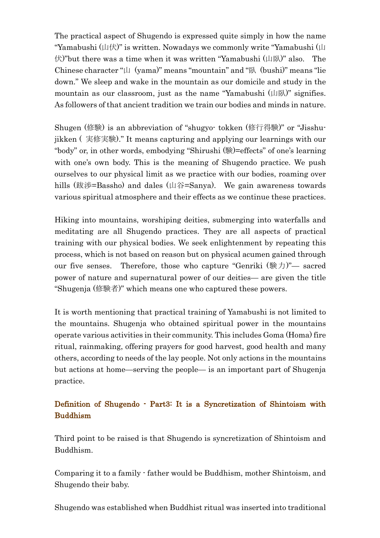The practical aspect of Shugendo is expressed quite simply in how the name "Yamabushi (山伏)" is written. Nowadays we commonly write "Yamabushi (山 伏)"but there was a time when it was written "Yamabushi (山臥)" also. The Chinese character " $\uplus$  (yama)" means "mountain" and "臥 (bushi)" means "lie down." We sleep and wake in the mountain as our domicile and study in the mountain as our classroom, just as the name "Yamabushi  $(\mu)$ " signifies. As followers of that ancient tradition we train our bodies and minds in nature.

Shugen (修験) is an abbreviation of "shugyo- tokken (修行得験)" or "Jisshujikken ( 実修実験)." It means capturing and applying our learnings with our "body" or, in other words, embodying "Shirushi (験)=effects" of one's learning with one's own body. This is the meaning of Shugendo practice. We push ourselves to our physical limit as we practice with our bodies, roaming over hills (跋渉=Bassho) and dales (山谷=Sanya). We gain awareness towards various spiritual atmosphere and their effects as we continue these practices.

Hiking into mountains, worshiping deities, submerging into waterfalls and meditating are all Shugendo practices. They are all aspects of practical training with our physical bodies. We seek enlightenment by repeating this process, which is not based on reason but on physical acumen gained through our five senses. Therefore, those who capture "Genriki (験力)"— sacred power of nature and supernatural power of our deities— are given the title "Shugenja (修験者)" which means one who captured these powers.

It is worth mentioning that practical training of Yamabushi is not limited to the mountains. Shugenja who obtained spiritual power in the mountains operate various activities in their community. This includes Goma (Homa) fire ritual, rainmaking, offering prayers for good harvest, good health and many others, according to needs of the lay people. Not only actions in the mountains but actions at home—serving the people— is an important part of Shugenja practice.

# Definition of Shugendo - Part3: It is a Syncretization of Shintoism with Buddhism

Third point to be raised is that Shugendo is syncretization of Shintoism and Buddhism.

Comparing it to a family - father would be Buddhism, mother Shintoism, and Shugendo their baby.

Shugendo was established when Buddhist ritual was inserted into traditional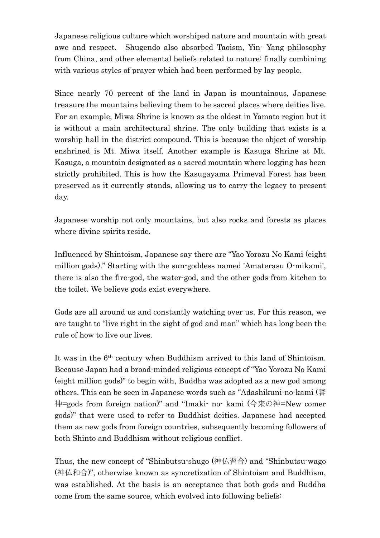Japanese religious culture which worshiped nature and mountain with great awe and respect. Shugendo also absorbed Taoism, Yin- Yang philosophy from China, and other elemental beliefs related to nature; finally combining with various styles of prayer which had been performed by lay people.

Since nearly 70 percent of the land in Japan is mountainous, Japanese treasure the mountains believing them to be sacred places where deities live. For an example, Miwa Shrine is known as the oldest in Yamato region but it is without a main architectural shrine. The only building that exists is a worship hall in the district compound. This is because the object of worship enshrined is Mt. Miwa itself. Another example is Kasuga Shrine at Mt. Kasuga, a mountain designated as a sacred mountain where logging has been strictly prohibited. This is how the Kasugayama Primeval Forest has been preserved as it currently stands, allowing us to carry the legacy to present day.

Japanese worship not only mountains, but also rocks and forests as places where divine spirits reside.

Influenced by Shintoism, Japanese say there are "Yao Yorozu No Kami (eight million gods)." Starting with the sun-goddess named 'Amaterasu O-mikami', there is also the fire-god, the water-god, and the other gods from kitchen to the toilet. We believe gods exist everywhere.

Gods are all around us and constantly watching over us. For this reason, we are taught to "live right in the sight of god and man" which has long been the rule of how to live our lives.

It was in the 6th century when Buddhism arrived to this land of Shintoism. Because Japan had a broad-minded religious concept of "Yao Yorozu No Kami (eight million gods)" to begin with, Buddha was adopted as a new god among others. This can be seen in Japanese words such as "Adashikuni-no-kami (蕃 神=gods from foreign nation)" and "Imaki- no- kami (今来の神=New comer gods)" that were used to refer to Buddhist deities. Japanese had accepted them as new gods from foreign countries, subsequently becoming followers of both Shinto and Buddhism without religious conflict.

Thus, the new concept of "Shinbutsu-shugo (神仏習合) and "Shinbutsu-wago (神仏和合)", otherwise known as syncretization of Shintoism and Buddhism, was established. At the basis is an acceptance that both gods and Buddha come from the same source, which evolved into following beliefs: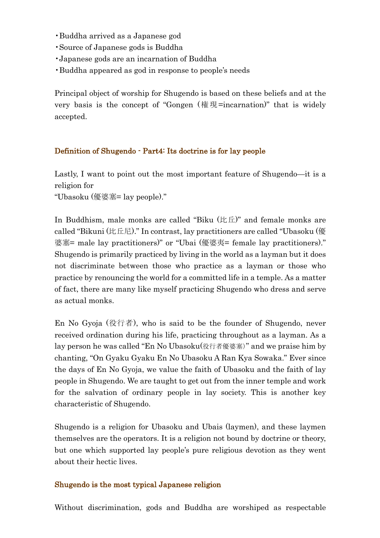- •Buddha arrived as a Japanese god
- •Source of Japanese gods is Buddha
- •Japanese gods are an incarnation of Buddha
- •Buddha appeared as god in response to people's needs

Principal object of worship for Shugendo is based on these beliefs and at the very basis is the concept of "Gongen (権現=incarnation)" that is widely accepted.

### Definition of Shugendo - Part4: Its doctrine is for lay people

Lastly, I want to point out the most important feature of Shugendo—it is a religion for

"Ubasoku (優婆塞= lay people)."

In Buddhism, male monks are called "Biku (比丘)" and female monks are called "Bikuni (比丘尼)." In contrast, lay practitioners are called "Ubasoku (優 婆塞= male lay practitioners)" or "Ubai (優婆夷= female lay practitioners)." Shugendo is primarily practiced by living in the world as a layman but it does not discriminate between those who practice as a layman or those who practice by renouncing the world for a committed life in a temple. As a matter of fact, there are many like myself practicing Shugendo who dress and serve as actual monks.

En No Gyoja (役行者), who is said to be the founder of Shugendo, never received ordination during his life, practicing throughout as a layman. As a lay person he was called "En No Ubasoku(役行者優婆塞)" and we praise him by chanting, "On Gyaku Gyaku En No Ubasoku A Ran Kya Sowaka." Ever since the days of En No Gyoja, we value the faith of Ubasoku and the faith of lay people in Shugendo. We are taught to get out from the inner temple and work for the salvation of ordinary people in lay society. This is another key characteristic of Shugendo.

Shugendo is a religion for Ubasoku and Ubais (laymen), and these laymen themselves are the operators. It is a religion not bound by doctrine or theory, but one which supported lay people's pure religious devotion as they went about their hectic lives.

#### Shugendo is the most typical Japanese religion

Without discrimination, gods and Buddha are worshiped as respectable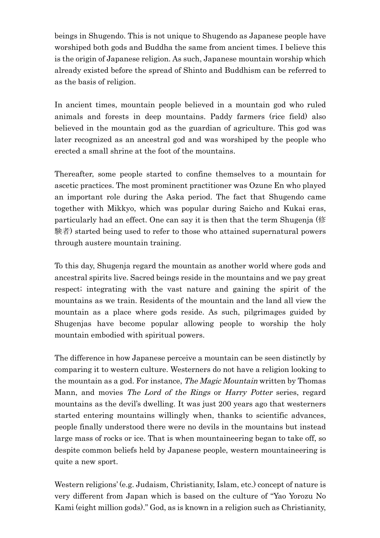beings in Shugendo. This is not unique to Shugendo as Japanese people have worshiped both gods and Buddha the same from ancient times. I believe this is the origin of Japanese religion. As such, Japanese mountain worship which already existed before the spread of Shinto and Buddhism can be referred to as the basis of religion.

In ancient times, mountain people believed in a mountain god who ruled animals and forests in deep mountains. Paddy farmers (rice field) also believed in the mountain god as the guardian of agriculture. This god was later recognized as an ancestral god and was worshiped by the people who erected a small shrine at the foot of the mountains.

Thereafter, some people started to confine themselves to a mountain for ascetic practices. The most prominent practitioner was Ozune En who played an important role during the Aska period. The fact that Shugendo came together with Mikkyo, which was popular during Saicho and Kukai eras, particularly had an effect. One can say it is then that the term Shugenja (修 験者) started being used to refer to those who attained supernatural powers through austere mountain training.

To this day, Shugenja regard the mountain as another world where gods and ancestral spirits live. Sacred beings reside in the mountains and we pay great respect; integrating with the vast nature and gaining the spirit of the mountains as we train. Residents of the mountain and the land all view the mountain as a place where gods reside. As such, pilgrimages guided by Shugenjas have become popular allowing people to worship the holy mountain embodied with spiritual powers.

The difference in how Japanese perceive a mountain can be seen distinctly by comparing it to western culture. Westerners do not have a religion looking to the mountain as a god. For instance, The Magic Mountain written by Thomas Mann, and movies *The Lord of the Rings* or *Harry Potter* series, regard mountains as the devil's dwelling. It was just 200 years ago that westerners started entering mountains willingly when, thanks to scientific advances, people finally understood there were no devils in the mountains but instead large mass of rocks or ice. That is when mountaineering began to take off, so despite common beliefs held by Japanese people, western mountaineering is quite a new sport.

Western religions' (e.g. Judaism, Christianity, Islam, etc.) concept of nature is very different from Japan which is based on the culture of "Yao Yorozu No Kami (eight million gods)." God, as is known in a religion such as Christianity,